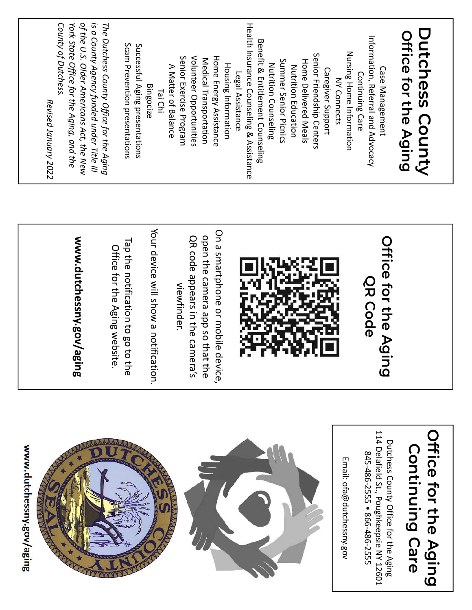| www.dutchessny.gov/aging                                                         |                                                |                                                                                       |
|----------------------------------------------------------------------------------|------------------------------------------------|---------------------------------------------------------------------------------------|
|                                                                                  |                                                | Revised January 2022                                                                  |
|                                                                                  | www.dutchessny.gov/agi<br>品                    | County of Dutchess<br>York State Office for the Aging, and the                        |
|                                                                                  |                                                | of the U.S. Older Americans Act, the New<br>is a County Agency funded under Title III |
|                                                                                  |                                                | The Dutchess County Office for the Aging                                              |
|                                                                                  | Office for the Aging website.                  |                                                                                       |
|                                                                                  | Tap the notification to go to t<br>ā           | Scam Prevention presentations                                                         |
|                                                                                  |                                                | Successful Aging presentations                                                        |
|                                                                                  | Your device will show a notificat<br>tion.     | <b>Bingocize</b>                                                                      |
|                                                                                  |                                                | Tai Chi                                                                               |
|                                                                                  | viewfinder.                                    | A Matter of Balance                                                                   |
|                                                                                  |                                                | Senior Exercise Program                                                               |
|                                                                                  | OR code appears in the camera's                | Volunteer Opportunities                                                               |
|                                                                                  | open the camera app so that the                | Medical Transportation                                                                |
|                                                                                  | On a smartphone or mobile device,              | Home Energy Assistance                                                                |
|                                                                                  |                                                | <b>Housing Information</b>                                                            |
|                                                                                  |                                                | Legal Assistance                                                                      |
|                                                                                  |                                                | Health Insurance Counseling & Assistance                                              |
|                                                                                  |                                                | <b>Benefit &amp; Entitlement Counseling</b>                                           |
|                                                                                  |                                                | Nutrition Counseling                                                                  |
|                                                                                  |                                                | Summer Senior Picnics                                                                 |
|                                                                                  |                                                | Nutrition Education                                                                   |
|                                                                                  |                                                | Home Delivered Meals                                                                  |
|                                                                                  |                                                | Senior Friendship Centers                                                             |
|                                                                                  |                                                | Caregiver Support                                                                     |
|                                                                                  |                                                | <b>NY Connects</b>                                                                    |
| Email: ofa@dutchessny.gov                                                        |                                                | Nursing Home Information                                                              |
|                                                                                  |                                                | Continuing Care                                                                       |
| 845-486-2555 ● 866-486-2555                                                      | <b>QR Code</b>                                 | Information, Referral and Advocacy                                                    |
| 114 Delafield St., Poughkeepsie NY 12601<br>Dutchess County Office for the Aging | Office for the Agin<br>$\bar{\mathbf{\Omega}}$ | Case Management                                                                       |
|                                                                                  |                                                |                                                                                       |
| Continuing Care                                                                  |                                                | Office for the Aging                                                                  |
|                                                                                  |                                                | <b>Dutchess County</b>                                                                |
| <b>Iffice for the Aging</b>                                                      |                                                |                                                                                       |
|                                                                                  |                                                |                                                                                       |